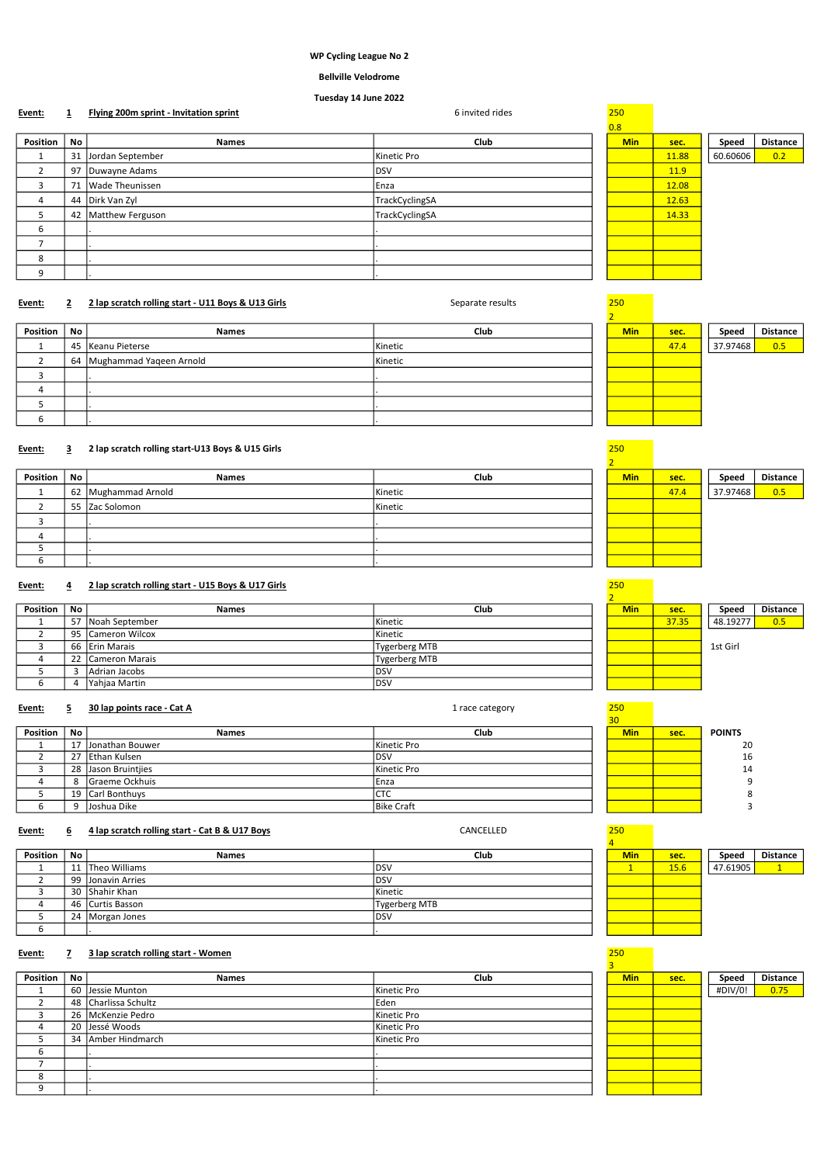# WP Cycling League No 2

# Bellville Velodrome

# Tuesday 14 June 2022

| Event:         |    | Flying 200m sprint - Invitation sprint | 6 invited rides | 250        |       |          |                 |
|----------------|----|----------------------------------------|-----------------|------------|-------|----------|-----------------|
|                |    |                                        |                 | 0.8        |       |          |                 |
| Position       | No | <b>Names</b>                           | Club            | <b>Min</b> | sec.  | Speed    | <b>Distance</b> |
| л.             | 31 | Jordan September                       | Kinetic Pro     |            | 11.88 | 60.60606 | 0.2             |
| $\overline{2}$ |    | 97 Duwayne Adams                       | <b>DSV</b>      |            | 11.9  |          |                 |
| 3              | 71 | Wade Theunissen                        | Enza            |            | 12.08 |          |                 |
| 4              |    | 44 Dirk Van Zyl                        | TrackCyclingSA  |            | 12.63 |          |                 |
| 5              | 42 | Matthew Ferguson                       | TrackCyclingSA  |            | 14.33 |          |                 |
| 6              |    |                                        |                 |            |       |          |                 |
| ⇁              |    |                                        |                 |            |       |          |                 |
| 8              |    |                                        |                 |            |       |          |                 |
| 9              |    |                                        |                 |            |       |          |                 |
|                |    |                                        |                 |            |       |          |                 |

# Event: 2 2 lap scratch rolling start - U11 Boys & U13 Girls Separate results 250

| Position | No | <b>Names</b>               | Club    | <b>Min</b> | sec. | Speed    | <b>Distance</b> |
|----------|----|----------------------------|---------|------------|------|----------|-----------------|
|          |    | 45   Keanu Pieterse        | Kinetic |            | 47.4 | 37.97468 | 0.5             |
|          |    | 64 Mughammad Yaqeen Arnold | Kinetic |            |      |          |                 |
|          |    |                            |         |            |      |          |                 |
| 4        |    |                            |         |            |      |          |                 |
|          |    |                            |         |            |      |          |                 |
|          |    |                            |         |            |      |          |                 |

# Event: 3 2 lap scratch rolling start-U13 Boys & U15 Girls 250

| Position | No | <b>Names</b>        | Club    | <b>Min</b> | sec. | Speed    | <b>Distance</b> |
|----------|----|---------------------|---------|------------|------|----------|-----------------|
|          |    | 62 Mughammad Arnold | Kinetic |            | 47.4 | 37.97468 | 0.5             |
|          |    | 55 Zac Solomon      | Kinetic |            |      |          |                 |
|          |    |                     |         |            |      |          |                 |
|          |    |                     |         |            |      |          |                 |
|          |    |                     |         |            |      |          |                 |
| b        |    |                     |         |            |      |          |                 |

# Event: 4 2 lap scratch rolling start - U15 Boys & U17 Girls

| Position | No. | <b>Names</b>        | Club                 | <b>Min</b> | sec.  | Speed    | <b>Distance</b> |
|----------|-----|---------------------|----------------------|------------|-------|----------|-----------------|
|          | 57  | Noah September      | Kinetic              |            | 37.35 | 48.19277 | 0.5             |
|          |     | 95 Cameron Wilcox   | Kinetic              |            |       |          |                 |
|          |     | 66 Erin Marais      | Tygerberg MTB        |            |       | 1st Girl |                 |
|          |     | 22   Cameron Marais | <b>Tygerberg MTB</b> |            |       |          |                 |
|          |     | Adrian Jacobs       | DS\                  |            |       |          |                 |
|          |     | Yahjaa Martin       | DS\                  |            |       |          |                 |

# Event: 5 30 lap points race - Cat A 1 race category 250

|          |          |                       |                 | JU.        |      |               |
|----------|----------|-----------------------|-----------------|------------|------|---------------|
| Position | No.      | <b>Names</b>          | Club            | <b>Min</b> | sec. | <b>POINTS</b> |
|          | 17       | Jonathan Bouwer       | Kinetic Pro     |            |      | 20            |
|          |          | 27 Ethan Kulsen       | <b>DSV</b>      |            |      | 16            |
|          |          | 28 Jason Bruintiles   | Kinetic Pro     |            |      | 14            |
|          |          | <b>Graeme Ockhuis</b> | Enza            |            |      |               |
|          |          | 19 Carl Bonthuys      | $\sim$<br>U I U |            |      |               |
|          | $\Omega$ | Joshua Dike           | Bike Craft      |            |      |               |

# Event: 6 4 lap scratch rolling start - Cat B & U17 Boys 6 200 200 200 200 2012 CANCELLED

| Position | No | <b>Names</b>      | Club          | <b>Min</b> | sec. | Speed    | <b>Dista</b> |
|----------|----|-------------------|---------------|------------|------|----------|--------------|
|          | 11 | Theo Williams     | <b>IDSV</b>   |            | 15.6 | 47.61905 |              |
|          |    | 99 Jonavin Arries | <b>IDSV</b>   |            |      |          |              |
|          |    | 30 Shahir Khan    | Kinetic       |            |      |          |              |
|          |    | 46 Curtis Basson  | Tygerberg MTB |            |      |          |              |
|          |    | 24   Morgan Jones | <b>IDSV</b>   |            |      |          |              |
|          |    |                   |               |            |      |          |              |

# Event: 7 3 lap scratch rolling start - Women

| <b>Position</b> | No | <b>Names</b>         | Club         | <b>Min</b> | sec. | Speed   | <b>Distance</b> |
|-----------------|----|----------------------|--------------|------------|------|---------|-----------------|
|                 |    | 60 Jessie Munton     | Kinetic Pro  |            |      | #DIV/0! | 0.75            |
|                 |    | 48 Charlissa Schultz | <b>IEden</b> |            |      |         |                 |
|                 |    | 26   McKenzie Pedro  | Kinetic Pro  |            |      |         |                 |
|                 |    | 20 Jessé Woods       | Kinetic Pro  |            |      |         |                 |
|                 |    | 34 Amber Hindmarch   | Kinetic Pro  |            |      |         |                 |
| b               |    |                      |              |            |      |         |                 |
|                 |    |                      |              |            |      |         |                 |
| 8               |    |                      |              |            |      |         |                 |
| Q               |    |                      |              |            |      |         |                 |



30

 $\frac{250}{1}$ 

 $\frac{250}{3}$ 

| 2          |      |                |
|------------|------|----------------|
| <b>Min</b> | sec. | <b>POINTS</b>  |
|            |      | 2 <sub>0</sub> |
|            |      | 16             |
|            |      | 14             |
|            |      | c              |
|            |      | ٤              |
|            |      | É              |
|            |      |                |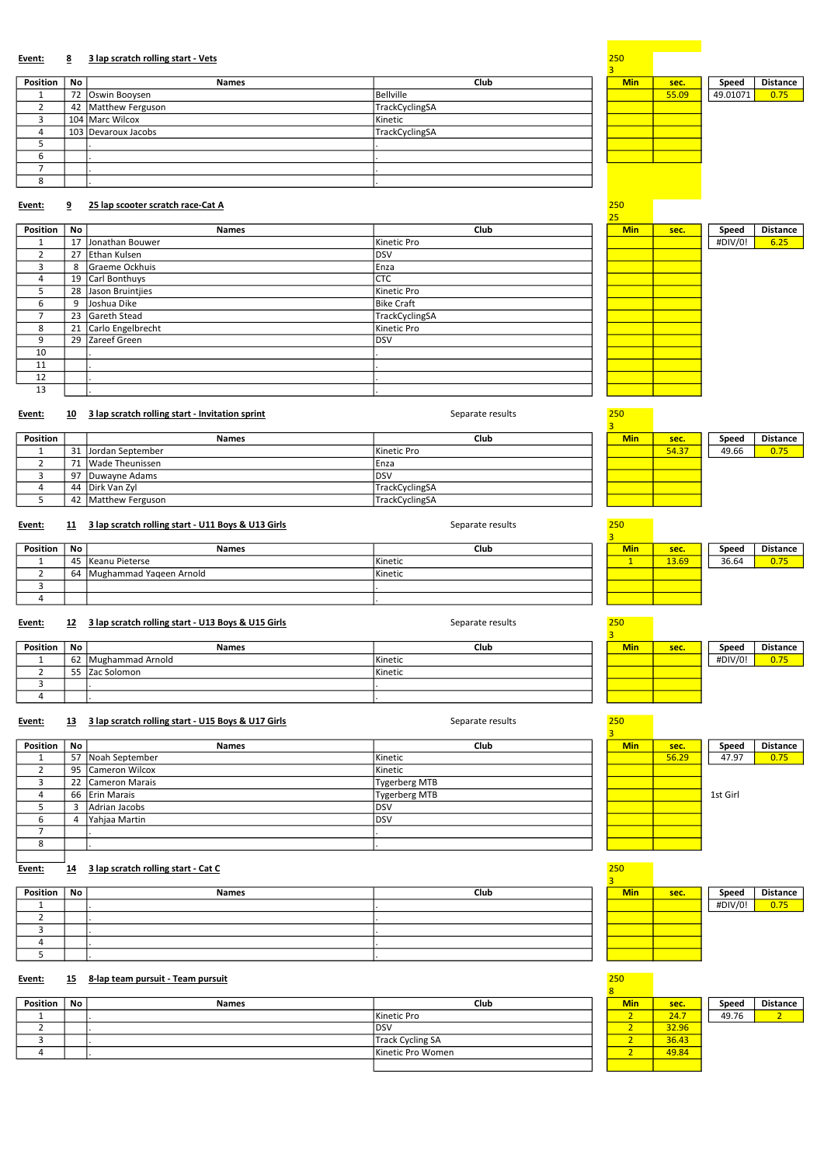# Event: 8 3 lap scratch rolling start - Vets 250 and 250 and 250 and 250 and 250 and 250 and 250 and 250 and 250 and 250 and 250 and 250 and 250 and 250 and 250 and 250 and 250 and 250 and 250 and 250 and 250 and 250 and 25

| Position | No l | <b>Names</b>        | Club           | <b>Min</b> | sec.  | Speed    | <b>Distance</b> |
|----------|------|---------------------|----------------|------------|-------|----------|-----------------|
|          |      | 72 Oswin Booysen    | Bellville      |            | 55.09 | 49.01071 | 0.75            |
|          |      | 42 Matthew Ferguson | TrackCyclingSA |            |       |          |                 |
|          |      | 104 Marc Wilcox     | Kinetic        |            |       |          |                 |
|          |      | 103 Devaroux Jacobs | TrackCyclingSA |            |       |          |                 |
|          |      |                     |                |            |       |          |                 |
| ь        |      |                     |                |            |       |          |                 |
|          |      |                     |                |            |       |          |                 |
| 8        |      |                     |                |            |       |          |                 |

# Event: 9 25 lap scooter scratch race-Cat A 250

|          |    |                      |                | 25         |      |         |                 |
|----------|----|----------------------|----------------|------------|------|---------|-----------------|
| Position | No | <b>Names</b>         | Club           | <b>Min</b> | sec. | Speed   | <b>Distance</b> |
|          |    | 17 Jonathan Bouwer   | Kinetic Pro    |            |      | #DIV/0! | 6.25            |
|          |    | 27 Ethan Kulsen      | <b>DSV</b>     |            |      |         |                 |
| 3        |    | 8 Graeme Ockhuis     | Enza           |            |      |         |                 |
| 4        |    | 19 Carl Bonthuys     | <b>CTC</b>     |            |      |         |                 |
| 5.       |    | 28 Jason Bruintijes  | Kinetic Pro    |            |      |         |                 |
| 6        |    | 9 Joshua Dike        | Bike Craft     |            |      |         |                 |
| 7        |    | 23 Gareth Stead      | TrackCyclingSA |            |      |         |                 |
| 8        |    | 21 Carlo Engelbrecht | Kinetic Pro    |            |      |         |                 |
| 9        |    | 29 Zareef Green      | <b>DSV</b>     |            |      |         |                 |
| 10       |    |                      |                |            |      |         |                 |
| 11       |    |                      |                |            |      |         |                 |
| 12       |    |                      |                |            |      |         |                 |
| 13       |    |                      |                |            |      |         |                 |

# Event: 10 3 lap scratch rolling start - Invitation sprint Separate results 250 and Separate results 250 and 250

| Position |     | <b>Names</b>          | Club                   | <b>Min</b> | sec.  | Speed | <b>Distance</b> |
|----------|-----|-----------------------|------------------------|------------|-------|-------|-----------------|
|          | 31  | . IJordan September   | Kinetic Pro            |            | 54.37 | 49.66 | 0.75            |
|          |     | 71 Wade Theunissen    | <b>IEnza</b>           |            |       |       |                 |
|          | -97 | Duwayne Adams         | <b>IDSV</b>            |            |       |       |                 |
|          |     | 44 Dirk Van Zvl       | TrackCyclingSA         |            |       |       |                 |
|          |     | 42   Matthew Ferguson | <b>ITrackCyclingSA</b> |            |       |       |                 |

# Event: 11 3 lap scratch rolling start - U11 Boys & U13 Girls 30 Contract Separate results

| Position | No | <b>Names</b>               | <b>Club</b>    | Min | sec.  | Speed | <b>Distance</b> |
|----------|----|----------------------------|----------------|-----|-------|-------|-----------------|
|          |    | 45 Keanu Pieterse          | <b>Kinetic</b> |     | 13.69 | 36.64 | 0.75            |
|          |    | 64 Mughammad Yaqeen Arnold | <b>Kinetic</b> |     |       |       |                 |
|          |    |                            |                |     |       |       |                 |
|          |    |                            |                |     |       |       |                 |

# Event: 12 3 lap scratch rolling start - U13 Boys & U15 Girls Separate results 250 250

| Position | No | <b>Names</b>        | Club           | <b>Min</b> | sec. | Speed   | <b>Distance</b> |
|----------|----|---------------------|----------------|------------|------|---------|-----------------|
|          |    | 62 Mughammad Arnold | <b>Kinetic</b> |            |      | #DIV/0! | 0.75            |
|          | 55 | Zac Solomon         | <b>Kinetic</b> |            |      |         |                 |
|          |    |                     |                |            |      |         |                 |
|          |    |                     |                |            |      |         |                 |

# Event: 13 3 lap scratch rolling start - U15 Boys & U17 Girls Separate results 250

|          |    |                   |                      | . .        |       |          |                 |
|----------|----|-------------------|----------------------|------------|-------|----------|-----------------|
| Position | No | <b>Names</b>      | Club                 | <b>Min</b> | sec.  | Speed    | <b>Distance</b> |
|          |    | 57 Noah September | Kinetic              |            | 56.29 | 47.97    | 0.75            |
|          |    | 95 Cameron Wilcox | Kinetic              |            |       |          |                 |
|          |    | 22 Cameron Marais | <b>Tygerberg MTB</b> |            |       |          |                 |
| 4        |    | 66 Erin Marais    | <b>Tygerberg MTB</b> |            |       | 1st Girl |                 |
|          |    | Adrian Jacobs     | IDSV                 |            |       |          |                 |
|          |    | Yahjaa Martin     | IDSV                 |            |       |          |                 |
|          |    |                   |                      |            |       |          |                 |
| ŏ        |    |                   |                      |            |       |          |                 |
|          |    |                   |                      |            |       |          |                 |

# Event: 14 3 lap scratch rolling start - Cat C 250

| Position | No | <b>Names</b> | Club | <b>Min</b> | sec. | Speed   | <b>Distance</b> |
|----------|----|--------------|------|------------|------|---------|-----------------|
|          |    |              |      |            |      | #DIV/0! | 0.75            |
|          |    |              |      |            |      |         |                 |
|          |    |              |      |            |      |         |                 |
|          |    |              |      |            |      |         |                 |
|          |    |              |      |            |      |         |                 |

# Event: 15 8-lap team pursuit - Team pursuit

| Event:   | 15 | 8-lap team pursuit - Team pursuit |                   | 250 |            |       |       |                 |
|----------|----|-----------------------------------|-------------------|-----|------------|-------|-------|-----------------|
| Position | No | <b>Names</b>                      | Club              |     | <b>Min</b> | sec.  | Speed | <b>Distance</b> |
|          |    |                                   | Kinetic Pro       |     |            | 24.7  | 49.76 |                 |
|          |    |                                   | IDSV              |     |            | 32.96 |       |                 |
|          |    |                                   | Track Cycling SA  |     |            | 36.43 |       |                 |
|          |    |                                   | Kinetic Pro Women |     |            | 49.84 |       |                 |
|          |    |                                   |                   |     |            |       |       |                 |

|            |      |       | $\cdots$        |
|------------|------|-------|-----------------|
|            |      |       |                 |
|            |      |       |                 |
|            |      |       |                 |
|            |      |       |                 |
|            |      |       |                 |
|            |      |       |                 |
|            |      |       |                 |
| <b>Min</b> | SPC. | Sneed | <b>Distance</b> |

#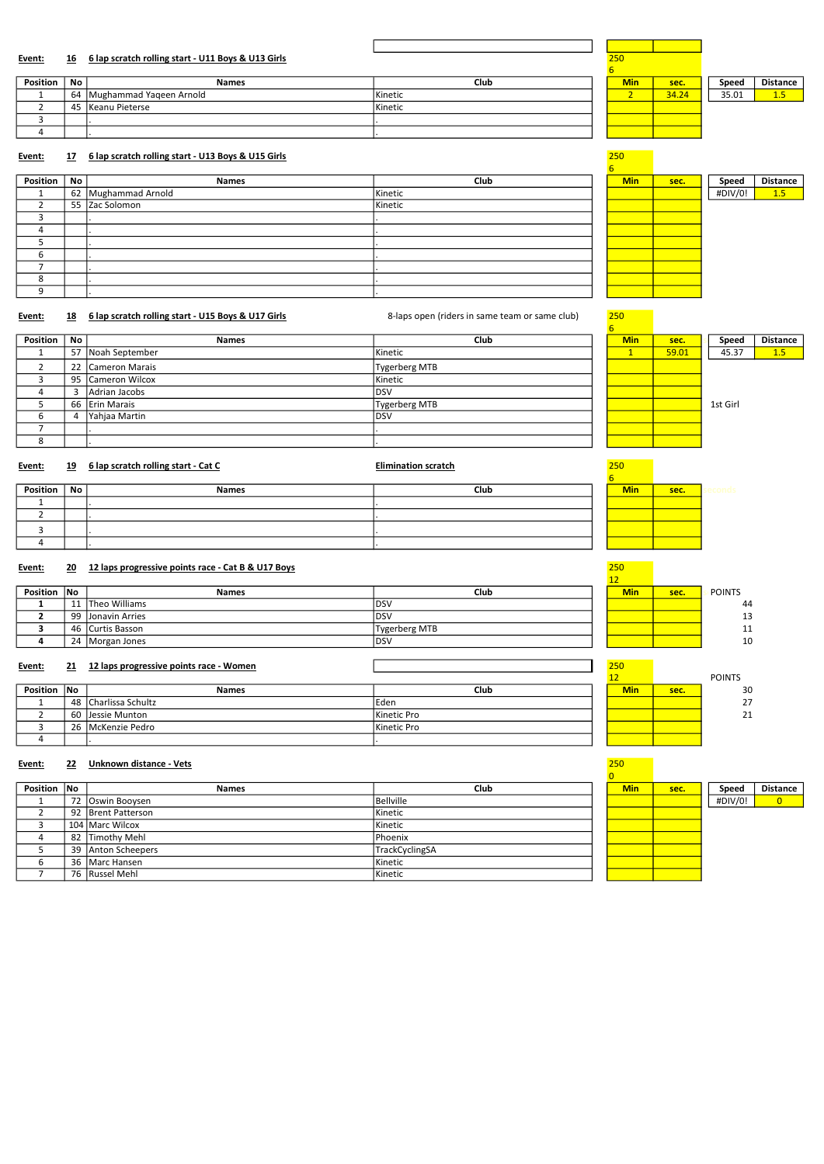# Event: 16 6 lap scratch rolling start - U11 Boys & U13 Girls

| Position | No | <b>Names</b>               | Club    | <b>Min</b> | sec.  | Speed | <b>Distance</b> |
|----------|----|----------------------------|---------|------------|-------|-------|-----------------|
|          |    | 64 Mughammad Yageen Arnold | Kinetic |            | 34.24 | 35.01 |                 |
|          | 45 | Keanu Pieterse             | Kinetic |            |       |       |                 |
|          |    |                            |         |            |       |       |                 |
|          |    |                            |         |            |       |       |                 |

# Event: 17 6 lap scratch rolling start - U13 Boys & U15 Girls 250

| Position | No l | <b>Names</b>        | Club    | <b>Min</b> | sec. | Speed   | <b>Distance</b> |
|----------|------|---------------------|---------|------------|------|---------|-----------------|
|          |      | 62 Mughammad Arnold | Kinetic |            |      | #DIV/0! | 1.5             |
|          |      | 55 Zac Solomon      | Kinetic |            |      |         |                 |
|          |      |                     |         |            |      |         |                 |
| 4        |      |                     |         |            |      |         |                 |
|          |      |                     |         |            |      |         |                 |
| O        |      |                     |         |            |      |         |                 |
|          |      |                     |         |            |      |         |                 |
| 8        |      |                     |         |            |      |         |                 |
|          |      |                     |         |            |      |         |                 |

# Event: 18 6 lap scratch rolling start - U15 Boys & U17 Girls 8-laps open (riders in same team or same club) 250

| Position | No | <b>Names</b>      | Club                 | <b>Min</b> | sec.  | Speed    | <b>Distance</b> |
|----------|----|-------------------|----------------------|------------|-------|----------|-----------------|
|          |    | 57 Noah September | Kinetic              |            | 59.01 | 45.37    | 1.5             |
|          |    | 22 Cameron Marais | <b>Tygerberg MTB</b> |            |       |          |                 |
|          |    | 95 Cameron Wilcox | Kinetic              |            |       |          |                 |
|          |    | Adrian Jacobs     | <b>DSV</b>           |            |       |          |                 |
|          |    | 66 Erin Marais    | <b>Tygerberg MTB</b> |            |       | 1st Girl |                 |
|          |    | Yahjaa Martin     | <b>DSV</b>           |            |       |          |                 |
|          |    |                   |                      |            |       |          |                 |
|          |    |                   |                      |            |       |          |                 |

Event: 19 6 lap scratch rolling start - Cat C C CONSERVIATION SCRATCH REGIMINATION SCRATCH 250 1250

| Position ' | No | <b>Names</b> | Club | <b>Min</b> | sec. |  |
|------------|----|--------------|------|------------|------|--|
|            |    |              |      |            |      |  |
|            |    |              |      |            |      |  |
|            |    |              |      |            |      |  |
|            |    |              |      |            |      |  |

# Event: 20 12 laps progressive points race - Cat B & U17 Boys

| Position No | <b>Names</b>       | <b>Club</b>   | <b>Min</b> | sec. | <b>POINTS</b> |
|-------------|--------------------|---------------|------------|------|---------------|
|             | 11 Theo Williams   | ldsv          |            |      | 44            |
|             | 99 Jonavin Arries  | ldsv          |            |      | 13            |
|             | 46   Curtis Basson | Tygerberg MTB |            |      | 11            |
|             | 24   Morgan Jones  | DSV           |            |      | 10            |

# Event: 21 12 laps progressive points race - Women 250

| ------      | -- | The rups progressive points ruce recentent |                   | $\sim$     |      |               |
|-------------|----|--------------------------------------------|-------------------|------------|------|---------------|
|             |    |                                            |                   |            |      | <b>POINTS</b> |
| Position No |    | <b>Names</b>                               | Club              | <b>Min</b> | sec. | 30            |
|             |    | 48 Charlissa Schultz                       | <sup>I</sup> Eden |            |      | 27            |
|             |    | 60 IJessie Munton                          | Kinetic Pro       |            |      | 21            |
|             |    | 26   McKenzie Pedro                        | Kinetic Pro       |            |      |               |
|             |    |                                            |                   |            |      |               |

# Event: 22 Unknown distance - Vets 250

| Position No | <b>Names</b>       | Club            | <b>Min</b> | sec. | Speed   | <b>Distance</b> |
|-------------|--------------------|-----------------|------------|------|---------|-----------------|
|             | 72 Oswin Booysen   | Bellville       |            |      | #DIV/0! | $\overline{0}$  |
|             | 92 Brent Patterson | l Kinetic       |            |      |         |                 |
|             | 104   Marc Wilcox  | Kinetic         |            |      |         |                 |
|             | 82 Timothy Mehl    | <b>IPhoenix</b> |            |      |         |                 |
|             | 39 Anton Scheepers | TrackCyclingSA  |            |      |         |                 |
|             | 36   Marc Hansen   | l Kinetic       |            |      |         |                 |
|             | 76 Russel Mehl     | Kinetic         |            |      |         |                 |

| sec. | Speed<br>#DIV/0! | <b>Distance</b> |
|------|------------------|-----------------|
|      |                  |                 |
|      |                  |                 |
|      |                  |                 |
|      |                  |                 |
|      |                  |                 |
|      |                  |                 |

# 

| 45.37<br>59.01<br>1st Girl |  |  |
|----------------------------|--|--|
|                            |  |  |
|                            |  |  |
|                            |  |  |
|                            |  |  |
|                            |  |  |
|                            |  |  |
|                            |  |  |
|                            |  |  |